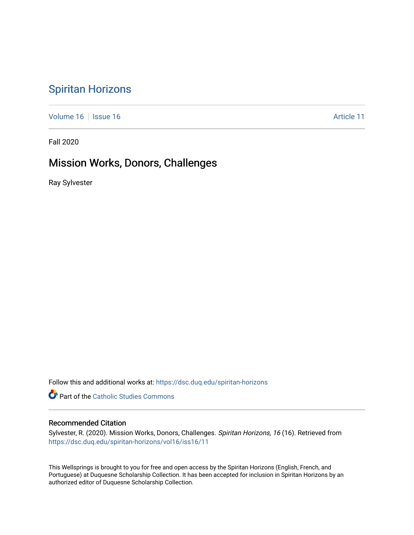# [Spiritan Horizons](https://dsc.duq.edu/spiritan-horizons)

[Volume 16](https://dsc.duq.edu/spiritan-horizons/vol16) | [Issue 16](https://dsc.duq.edu/spiritan-horizons/vol16/iss16) | Issue 16 | Issue 16 | Issue 16 | Issue 16 | Issue 16 | Issue 16 | Issue 16 | Issue 16 | Issue 16 | Issue 16 | Issue 16 | Issue 16 | Issue 16 | Issue 16 | Issue 16 | Issue 16 | Issue 16 | Issue 16 | I

Fall 2020

# Mission Works, Donors, Challenges

Ray Sylvester

Follow this and additional works at: [https://dsc.duq.edu/spiritan-horizons](https://dsc.duq.edu/spiritan-horizons?utm_source=dsc.duq.edu%2Fspiritan-horizons%2Fvol16%2Fiss16%2F11&utm_medium=PDF&utm_campaign=PDFCoverPages)

**Part of the [Catholic Studies Commons](http://network.bepress.com/hgg/discipline/1294?utm_source=dsc.duq.edu%2Fspiritan-horizons%2Fvol16%2Fiss16%2F11&utm_medium=PDF&utm_campaign=PDFCoverPages)** 

# Recommended Citation

Sylvester, R. (2020). Mission Works, Donors, Challenges. Spiritan Horizons, 16 (16). Retrieved from [https://dsc.duq.edu/spiritan-horizons/vol16/iss16/11](https://dsc.duq.edu/spiritan-horizons/vol16/iss16/11?utm_source=dsc.duq.edu%2Fspiritan-horizons%2Fvol16%2Fiss16%2F11&utm_medium=PDF&utm_campaign=PDFCoverPages) 

This Wellsprings is brought to you for free and open access by the Spiritan Horizons (English, French, and Portuguese) at Duquesne Scholarship Collection. It has been accepted for inclusion in Spiritan Horizons by an authorized editor of Duquesne Scholarship Collection.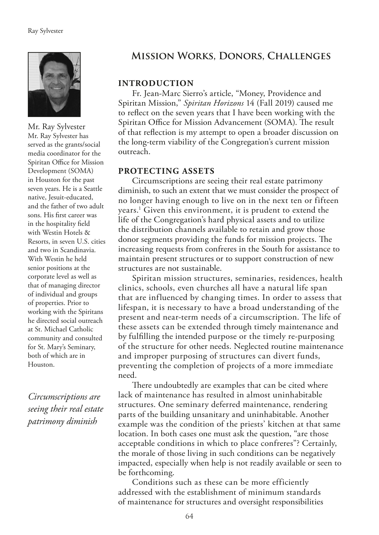

Mr. Ray Sylvester Mr. Ray Sylvester has served as the grants/social media coordinator for the Spiritan Office for Mission Development (SOMA) in Houston for the past seven years. He is a Seattle native, Jesuit-educated, and the father of two adult sons. His frst career was in the hospitality feld with Westin Hotels & Resorts, in seven U.S. cities and two in Scandinavia. With Westin he held senior positions at the corporate level as well as that of managing director of individual and groups of properties. Prior to working with the Spiritans he directed social outreach at St. Michael Catholic community and consulted for St. Mary's Seminary, both of which are in Houston.

*Circumscriptions are seeing their real estate patrimony diminish*

# **Mission Works, Donors, Challenges**

# **INTRODUCTION**

Fr. Jean-Marc Sierro's article, "Money, Providence and Spiritan Mission," *Spiritan Horizons* 14 (Fall 2019) caused me to refect on the seven years that I have been working with the Spiritan Office for Mission Advancement (SOMA). The result of that refection is my attempt to open a broader discussion on the long-term viability of the Congregation's current mission outreach.

## **PROTECTING ASSETS**

Circumscriptions are seeing their real estate patrimony diminish, to such an extent that we must consider the prospect of no longer having enough to live on in the next ten or fifteen years.1 Given this environment, it is prudent to extend the life of the Congregation's hard physical assets and to utilize the distribution channels available to retain and grow those donor segments providing the funds for mission projects. The increasing requests from confreres in the South for assistance to maintain present structures or to support construction of new structures are not sustainable.

Spiritan mission structures, seminaries, residences, health clinics, schools, even churches all have a natural life span that are influenced by changing times. In order to assess that lifespan, it is necessary to have a broad understanding of the present and near-term needs of a circumscription. The life of these assets can be extended through timely maintenance and by fulflling the intended purpose or the timely re-purposing of the structure for other needs. Neglected routine maintenance and improper purposing of structures can divert funds, preventing the completion of projects of a more immediate need.

There undoubtedly are examples that can be cited where lack of maintenance has resulted in almost uninhabitable structures. One seminary deferred maintenance, rendering parts of the building unsanitary and uninhabitable. Another example was the condition of the priests' kitchen at that same location. In both cases one must ask the question, "are those acceptable conditions in which to place confreres"? Certainly, the morale of those living in such conditions can be negatively impacted, especially when help is not readily available or seen to be forthcoming.

Conditions such as these can be more efficiently addressed with the establishment of minimum standards of maintenance for structures and oversight responsibilities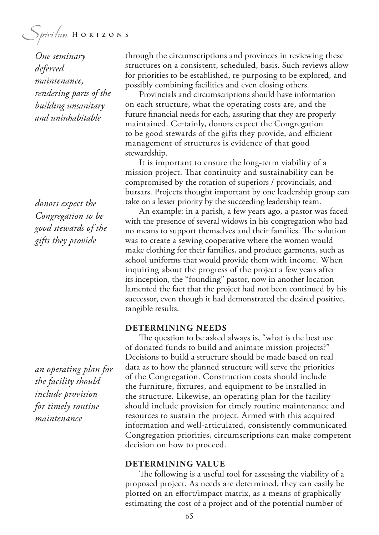Spiritan HORIZONS

*One seminary deferred maintenance, rendering parts of the building unsanitary and uninhabitable*

*donors expect the Congregation to be good stewards of the gifts they provide*

*an operating plan for the facility should include provision for timely routine maintenance*

through the circumscriptions and provinces in reviewing these structures on a consistent, scheduled, basis. Such reviews allow for priorities to be established, re-purposing to be explored, and possibly combining facilities and even closing others.

Provincials and circumscriptions should have information on each structure, what the operating costs are, and the future fnancial needs for each, assuring that they are properly maintained. Certainly, donors expect the Congregation to be good stewards of the gifts they provide, and efficient management of structures is evidence of that good stewardship.

It is important to ensure the long-term viability of a mission project. That continuity and sustainability can be compromised by the rotation of superiors / provincials, and bursars. Projects thought important by one leadership group can take on a lesser priority by the succeeding leadership team.

An example: in a parish, a few years ago, a pastor was faced with the presence of several widows in his congregation who had no means to support themselves and their families. The solution was to create a sewing cooperative where the women would make clothing for their families, and produce garments, such as school uniforms that would provide them with income. When inquiring about the progress of the project a few years after its inception, the "founding" pastor, now in another location lamented the fact that the project had not been continued by his successor, even though it had demonstrated the desired positive, tangible results.

## **DETERMINING NEEDS**

The question to be asked always is, "what is the best use of donated funds to build and animate mission projects?" Decisions to build a structure should be made based on real data as to how the planned structure will serve the priorities of the Congregation. Construction costs should include the furniture, fxtures, and equipment to be installed in the structure. Likewise, an operating plan for the facility should include provision for timely routine maintenance and resources to sustain the project. Armed with this acquired information and well-articulated, consistently communicated Congregation priorities, circumscriptions can make competent decision on how to proceed.

#### **DETERMINING VALUE**

The following is a useful tool for assessing the viability of a proposed project. As needs are determined, they can easily be plotted on an efort/impact matrix, as a means of graphically estimating the cost of a project and of the potential number of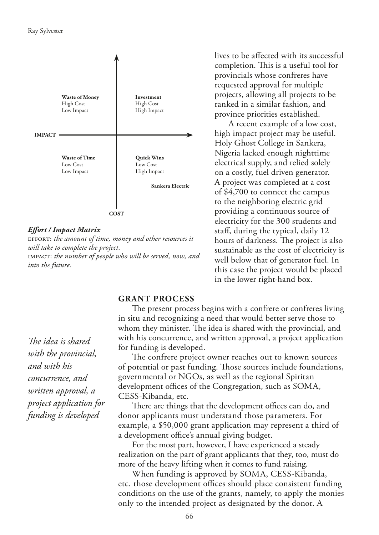

#### *Efort / Impact Matrix*

effort: *the amount of time, money and other resources it will take to complete the project.* impact: *the number of people who will be served, now, and into the future.*

lives to be afected with its successful completion. This is a useful tool for provincials whose confreres have requested approval for multiple projects, allowing all projects to be ranked in a similar fashion, and province priorities established.

A recent example of a low cost, high impact project may be useful. Holy Ghost College in Sankera, Nigeria lacked enough nighttime electrical supply, and relied solely on a costly, fuel driven generator. A project was completed at a cost of \$4,700 to connect the campus to the neighboring electric grid providing a continuous source of electricity for the 300 students and staf, during the typical, daily 12 hours of darkness. The project is also sustainable as the cost of electricity is well below that of generator fuel. In this case the project would be placed in the lower right-hand box.

### **GRANT PROCESS**

The present process begins with a confrere or confreres living in situ and recognizing a need that would better serve those to whom they minister. The idea is shared with the provincial, and with his concurrence, and written approval, a project application for funding is developed.

The confrere project owner reaches out to known sources of potential or past funding. Those sources include foundations, governmental or NGOs, as well as the regional Spiritan development offices of the Congregation, such as SOMA, CESS-Kibanda, etc.

There are things that the development offices can do, and donor applicants must understand those parameters. For example, a \$50,000 grant application may represent a third of a development office's annual giving budget.

For the most part, however, I have experienced a steady realization on the part of grant applicants that they, too, must do more of the heavy lifting when it comes to fund raising.

When funding is approved by SOMA, CESS-Kibanda, etc. those development offices should place consistent funding conditions on the use of the grants, namely, to apply the monies only to the intended project as designated by the donor. A

*The idea is shared with the provincial, and with his concurrence, and written approval, a project application for funding is developed*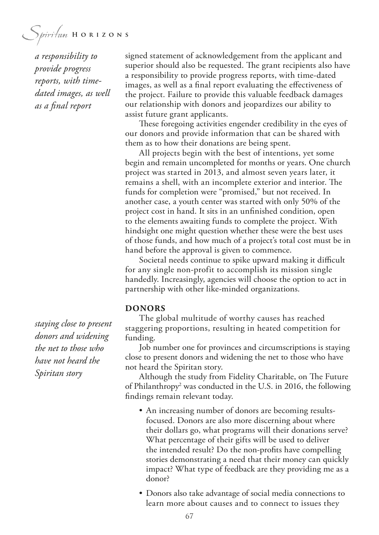Spiritan HORIZONS

*a responsibility to provide progress reports, with timedated images, as well as a fnal report*

signed statement of acknowledgement from the applicant and superior should also be requested. The grant recipients also have a responsibility to provide progress reports, with time-dated images, as well as a fnal report evaluating the efectiveness of the project. Failure to provide this valuable feedback damages our relationship with donors and jeopardizes our ability to assist future grant applicants.

These foregoing activities engender credibility in the eyes of our donors and provide information that can be shared with them as to how their donations are being spent.

All projects begin with the best of intentions, yet some begin and remain uncompleted for months or years. One church project was started in 2013, and almost seven years later, it remains a shell, with an incomplete exterior and interior. The funds for completion were "promised," but not received. In another case, a youth center was started with only 50% of the project cost in hand. It sits in an unfnished condition, open to the elements awaiting funds to complete the project. With hindsight one might question whether these were the best uses of those funds, and how much of a project's total cost must be in hand before the approval is given to commence.

Societal needs continue to spike upward making it difficult for any single non-profit to accomplish its mission single handedly. Increasingly, agencies will choose the option to act in partnership with other like-minded organizations.

#### **DONORS**

The global multitude of worthy causes has reached staggering proportions, resulting in heated competition for funding.

Job number one for provinces and circumscriptions is staying close to present donors and widening the net to those who have not heard the Spiritan story.

Although the study from Fidelity Charitable, on The Future of Philanthropy<sup>2</sup> was conducted in the U.S. in 2016, the following fndings remain relevant today.

- An increasing number of donors are becoming resultsfocused. Donors are also more discerning about where their dollars go, what programs will their donations serve? What percentage of their gifts will be used to deliver the intended result? Do the non-profts have compelling stories demonstrating a need that their money can quickly impact? What type of feedback are they providing me as a donor?
- Donors also take advantage of social media connections to learn more about causes and to connect to issues they

*staying close to present donors and widening the net to those who have not heard the Spiritan story*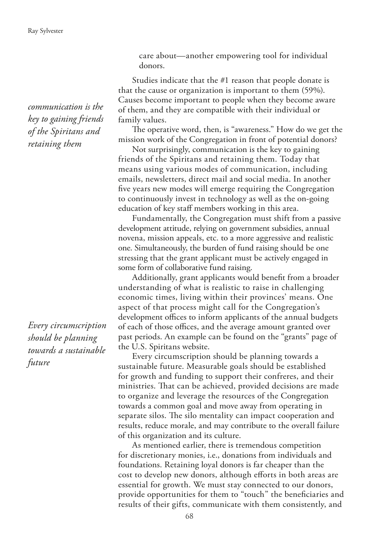*communication is the key to gaining friends of the Spiritans and retaining them*

*Every circumscription should be planning towards a sustainable future*

care about—another empowering tool for individual donors.

Studies indicate that the #1 reason that people donate is that the cause or organization is important to them (59%). Causes become important to people when they become aware of them, and they are compatible with their individual or family values.

The operative word, then, is "awareness." How do we get the mission work of the Congregation in front of potential donors?

Not surprisingly, communication is the key to gaining friends of the Spiritans and retaining them. Today that means using various modes of communication, including emails, newsletters, direct mail and social media. In another fve years new modes will emerge requiring the Congregation to continuously invest in technology as well as the on-going education of key staff members working in this area.

Fundamentally, the Congregation must shift from a passive development attitude, relying on government subsidies, annual novena, mission appeals, etc. to a more aggressive and realistic one. Simultaneously, the burden of fund raising should be one stressing that the grant applicant must be actively engaged in some form of collaborative fund raising.

Additionally, grant applicants would beneft from a broader understanding of what is realistic to raise in challenging economic times, living within their provinces' means. One aspect of that process might call for the Congregation's development offices to inform applicants of the annual budgets of each of those offices, and the average amount granted over past periods. An example can be found on the "grants" page of the U.S. Spiritans website.

Every circumscription should be planning towards a sustainable future. Measurable goals should be established for growth and funding to support their confreres, and their ministries. That can be achieved, provided decisions are made to organize and leverage the resources of the Congregation towards a common goal and move away from operating in separate silos. The silo mentality can impact cooperation and results, reduce morale, and may contribute to the overall failure of this organization and its culture.

As mentioned earlier, there is tremendous competition for discretionary monies, i.e., donations from individuals and foundations. Retaining loyal donors is far cheaper than the cost to develop new donors, although eforts in both areas are essential for growth. We must stay connected to our donors, provide opportunities for them to "touch" the benefciaries and results of their gifts, communicate with them consistently, and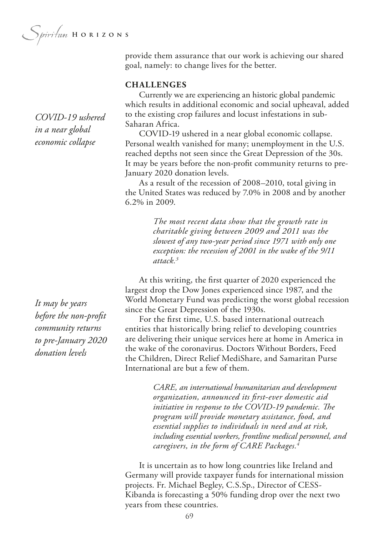provide them assurance that our work is achieving our shared goal, namely: to change lives for the better.

# **CHALLENGES**

Currently we are experiencing an historic global pandemic which results in additional economic and social upheaval, added to the existing crop failures and locust infestations in sub-Saharan Africa.

COVID-19 ushered in a near global economic collapse. Personal wealth vanished for many; unemployment in the U.S. reached depths not seen since the Great Depression of the 30s. It may be years before the non-proft community returns to pre-January 2020 donation levels.

As a result of the recession of 2008–2010, total giving in the United States was reduced by 7.0% in 2008 and by another 6.2% in 2009.

> *The most recent data show that the growth rate in charitable giving between 2009 and 2011 was the slowest of any two-year period since 1971 with only one exception: the recession of 2001 in the wake of the 9/11 attack.3*

At this writing, the frst quarter of 2020 experienced the largest drop the Dow Jones experienced since 1987, and the World Monetary Fund was predicting the worst global recession since the Great Depression of the 1930s.

For the frst time, U.S. based international outreach entities that historically bring relief to developing countries are delivering their unique services here at home in America in the wake of the coronavirus. Doctors Without Borders, Feed the Children, Direct Relief MediShare, and Samaritan Purse International are but a few of them.

> *CARE, an international humanitarian and development organization, announced its frst-ever domestic aid*  initiative in response to the COVID-19 pandemic. The *program will provide monetary assistance, food, and essential supplies to individuals in need and at risk, including essential workers, frontline medical personnel, and caregivers, in the form of CARE Packages.4*

It is uncertain as to how long countries like Ireland and Germany will provide taxpayer funds for international mission projects. Fr. Michael Begley, C.S.Sp., Director of CESS-Kibanda is forecasting a 50% funding drop over the next two years from these countries.

*COVID-19 ushered in a near global economic collapse*

*It may be years before the non-proft community returns to pre-January 2020 donation levels*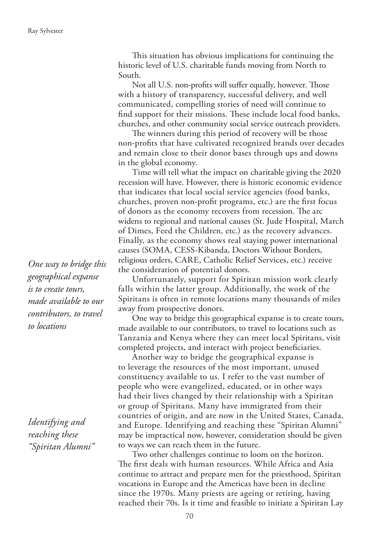This situation has obvious implications for continuing the historic level of U.S. charitable funds moving from North to South.

Not all U.S. non-profits will suffer equally, however. Those with a history of transparency, successful delivery, and well communicated, compelling stories of need will continue to find support for their missions. These include local food banks, churches, and other community social service outreach providers.

The winners during this period of recovery will be those non-profts that have cultivated recognized brands over decades and remain close to their donor bases through ups and downs in the global economy.

Time will tell what the impact on charitable giving the 2020 recession will have. However, there is historic economic evidence that indicates that local social service agencies (food banks, churches, proven non-proft programs, etc.) are the frst focus of donors as the economy recovers from recession. The arc widens to regional and national causes (St. Jude Hospital, March of Dimes, Feed the Children, etc.) as the recovery advances. Finally, as the economy shows real staying power international causes (SOMA, CESS-Kibanda, Doctors Without Borders, religious orders, CARE, Catholic Relief Services, etc.) receive the consideration of potential donors.

Unfortunately, support for Spiritan mission work clearly falls within the latter group. Additionally, the work of the Spiritans is often in remote locations many thousands of miles away from prospective donors.

One way to bridge this geographical expanse is to create tours, made available to our contributors, to travel to locations such as Tanzania and Kenya where they can meet local Spiritans, visit completed projects, and interact with project benefciaries.

Another way to bridge the geographical expanse is to leverage the resources of the most important, unused constituency available to us. I refer to the vast number of people who were evangelized, educated, or in other ways had their lives changed by their relationship with a Spiritan or group of Spiritans. Many have immigrated from their countries of origin, and are now in the United States, Canada, and Europe. Identifying and reaching these "Spiritan Alumni" may be impractical now, however, consideration should be given to ways we can reach them in the future.

Two other challenges continue to loom on the horizon. The first deals with human resources. While Africa and Asia continue to attract and prepare men for the priesthood, Spiritan vocations in Europe and the Americas have been in decline since the 1970s. Many priests are ageing or retiring, having reached their 70s. Is it time and feasible to initiate a Spiritan Lay

*One way to bridge this geographical expanse is to create tours, made available to our contributors, to travel to locations*

*Identifying and reaching these "Spiritan Alumni"*